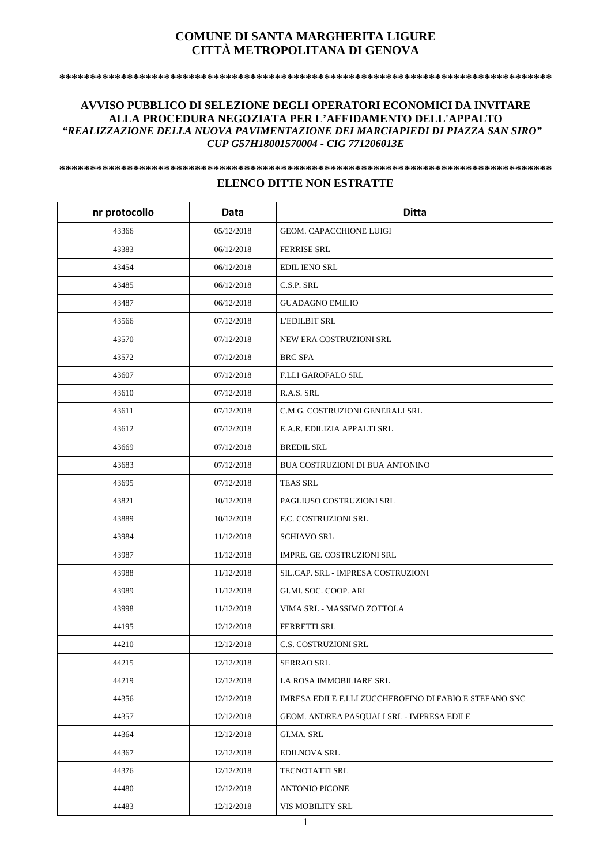## **COMUNE DI SANTA MARGHERITA LIGURE CITTÀ METROPOLITANA DI GENOVA**

**\*\*\*\*\*\*\*\*\*\*\*\*\*\*\*\*\*\*\*\*\*\*\*\*\*\*\*\*\*\*\*\*\*\*\*\*\*\*\*\*\*\*\*\*\*\*\*\*\*\*\*\*\*\*\*\*\*\*\*\*\*\*\*\*\*\*\*\*\*\*\*\*\*\*\*\*\*\*\*\*** 

## **AVVISO PUBBLICO DI SELEZIONE DEGLI OPERATORI ECONOMICI DA INVITARE ALLA PROCEDURA NEGOZIATA PER L'AFFIDAMENTO DELL'APPALTO**  *"REALIZZAZIONE DELLA NUOVA PAVIMENTAZIONE DEI MARCIAPIEDI DI PIAZZA SAN SIRO" CUP G57H18001570004 - CIG 771206013E*

## **\*\*\*\*\*\*\*\*\*\*\*\*\*\*\*\*\*\*\*\*\*\*\*\*\*\*\*\*\*\*\*\*\*\*\*\*\*\*\*\*\*\*\*\*\*\*\*\*\*\*\*\*\*\*\*\*\*\*\*\*\*\*\*\*\*\*\*\*\*\*\*\*\*\*\*\*\*\*\*\* ELENCO DITTE NON ESTRATTE**

| nr protocollo | Data       | <b>Ditta</b>                                           |
|---------------|------------|--------------------------------------------------------|
| 43366         | 05/12/2018 | GEOM. CAPACCHIONE LUIGI                                |
| 43383         | 06/12/2018 | <b>FERRISE SRL</b>                                     |
| 43454         | 06/12/2018 | <b>EDIL IENO SRL</b>                                   |
| 43485         | 06/12/2018 | C.S.P. SRL                                             |
| 43487         | 06/12/2018 | <b>GUADAGNO EMILIO</b>                                 |
| 43566         | 07/12/2018 | <b>L'EDILBIT SRL</b>                                   |
| 43570         | 07/12/2018 | NEW ERA COSTRUZIONI SRL                                |
| 43572         | 07/12/2018 | <b>BRC SPA</b>                                         |
| 43607         | 07/12/2018 | <b>F.LLI GAROFALO SRL</b>                              |
| 43610         | 07/12/2018 | R.A.S. SRL                                             |
| 43611         | 07/12/2018 | C.M.G. COSTRUZIONI GENERALI SRL                        |
| 43612         | 07/12/2018 | E.A.R. EDILIZIA APPALTI SRL                            |
| 43669         | 07/12/2018 | <b>BREDIL SRL</b>                                      |
| 43683         | 07/12/2018 | BUA COSTRUZIONI DI BUA ANTONINO                        |
| 43695         | 07/12/2018 | <b>TEAS SRL</b>                                        |
| 43821         | 10/12/2018 | PAGLIUSO COSTRUZIONI SRL                               |
| 43889         | 10/12/2018 | F.C. COSTRUZIONI SRL                                   |
| 43984         | 11/12/2018 | <b>SCHIAVO SRL</b>                                     |
| 43987         | 11/12/2018 | IMPRE. GE. COSTRUZIONI SRL                             |
| 43988         | 11/12/2018 | SIL.CAP. SRL - IMPRESA COSTRUZIONI                     |
| 43989         | 11/12/2018 | GI.MI. SOC. COOP. ARL                                  |
| 43998         | 11/12/2018 | VIMA SRL - MASSIMO ZOTTOLA                             |
| 44195         | 12/12/2018 | <b>FERRETTI SRL</b>                                    |
| 44210         | 12/12/2018 | C.S. COSTRUZIONI SRL                                   |
| 44215         | 12/12/2018 | <b>SERRAO SRL</b>                                      |
| 44219         | 12/12/2018 | LA ROSA IMMOBILIARE SRL                                |
| 44356         | 12/12/2018 | IMRESA EDILE F.LLI ZUCCHEROFINO DI FABIO E STEFANO SNC |
| 44357         | 12/12/2018 | GEOM. ANDREA PASQUALI SRL - IMPRESA EDILE              |
| 44364         | 12/12/2018 | GI.MA. SRL                                             |
| 44367         | 12/12/2018 | <b>EDILNOVA SRL</b>                                    |
| 44376         | 12/12/2018 | TECNOTATTI SRL                                         |
| 44480         | 12/12/2018 | <b>ANTONIO PICONE</b>                                  |
| 44483         | 12/12/2018 | VIS MOBILITY SRL                                       |